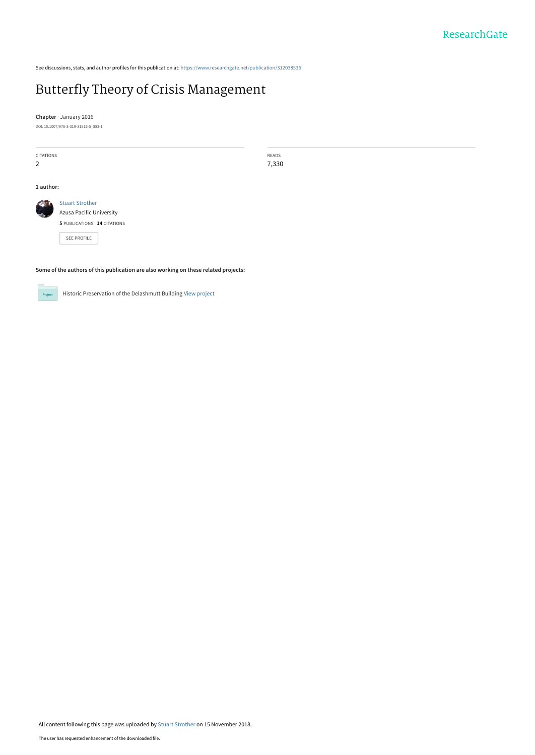See discussions, stats, and author profiles for this publication at: [https://www.researchgate.net/publication/312038536](https://www.researchgate.net/publication/312038536_Butterfly_Theory_of_Crisis_Management?enrichId=rgreq-24c8d899dfc68e61a93b4e61ca6101c6-XXX&enrichSource=Y292ZXJQYWdlOzMxMjAzODUzNjtBUzo2OTMxOTU4MjIzMzM5NTNAMTU0MjI4MjE3MTE2NQ%3D%3D&el=1_x_2&_esc=publicationCoverPdf)

# [Butterfly Theory of Crisis Management](https://www.researchgate.net/publication/312038536_Butterfly_Theory_of_Crisis_Management?enrichId=rgreq-24c8d899dfc68e61a93b4e61ca6101c6-XXX&enrichSource=Y292ZXJQYWdlOzMxMjAzODUzNjtBUzo2OTMxOTU4MjIzMzM5NTNAMTU0MjI4MjE3MTE2NQ%3D%3D&el=1_x_3&_esc=publicationCoverPdf)

**Chapter** · January 2016 DOI: 10.1007/978-3-319-31816-5\_883-1

CITATIONS

2

READS 7,330

**1 author:**



**5** PUBLICATIONS **14** CITATIONS

[SEE PROFILE](https://www.researchgate.net/profile/Stuart-Strother?enrichId=rgreq-24c8d899dfc68e61a93b4e61ca6101c6-XXX&enrichSource=Y292ZXJQYWdlOzMxMjAzODUzNjtBUzo2OTMxOTU4MjIzMzM5NTNAMTU0MjI4MjE3MTE2NQ%3D%3D&el=1_x_7&_esc=publicationCoverPdf)

**Some of the authors of this publication are also working on these related projects:**



Historic Preservation of the Delashmutt Building [View project](https://www.researchgate.net/project/Historic-Preservation-of-the-Delashmutt-Building?enrichId=rgreq-24c8d899dfc68e61a93b4e61ca6101c6-XXX&enrichSource=Y292ZXJQYWdlOzMxMjAzODUzNjtBUzo2OTMxOTU4MjIzMzM5NTNAMTU0MjI4MjE3MTE2NQ%3D%3D&el=1_x_9&_esc=publicationCoverPdf)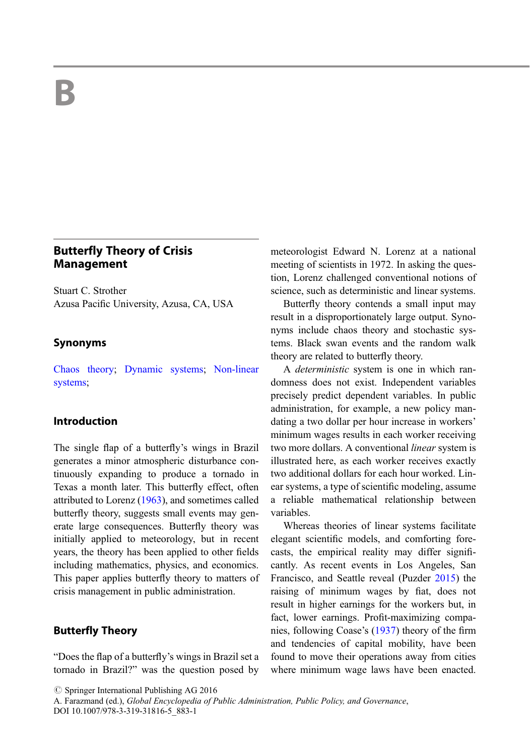# Butterfly Theory of Crisis Management

Stuart C. Strother Azusa Pacific University, Azusa, CA, USA

## Synonyms

[Chaos theory;](http://link.springer.com/Chaos theory) [Dynamic systems;](http://link.springer.com/Dynamic systems) [Non-linear](http://link.springer.com/Non-linear systems) [systems](http://link.springer.com/Non-linear systems);

# Introduction

The single flap of a butterfly's wings in Brazil generates a minor atmospheric disturbance continuously expanding to produce a tornado in Texas a month later. This butterfly effect, often attributed to Lorenz [\(1963](#page-5-0)), and sometimes called butterfly theory, suggests small events may generate large consequences. Butterfly theory was initially applied to meteorology, but in recent years, the theory has been applied to other fields including mathematics, physics, and economics. This paper applies butterfly theory to matters of crisis management in public administration.

## Butterfly Theory

"Does the flap of a butterfly's wings in Brazil set a tornado in Brazil?" was the question posed by

meteorologist Edward N. Lorenz at a national meeting of scientists in 1972. In asking the question, Lorenz challenged conventional notions of science, such as deterministic and linear systems.

Butterfly theory contends a small input may result in a disproportionately large output. Synonyms include chaos theory and stochastic systems. Black swan events and the random walk theory are related to butterfly theory.

A deterministic system is one in which randomness does not exist. Independent variables precisely predict dependent variables. In public administration, for example, a new policy mandating a two dollar per hour increase in workers' minimum wages results in each worker receiving two more dollars. A conventional linear system is illustrated here, as each worker receives exactly two additional dollars for each hour worked. Linear systems, a type of scientific modeling, assume a reliable mathematical relationship between variables.

Whereas theories of linear systems facilitate elegant scientific models, and comforting forecasts, the empirical reality may differ significantly. As recent events in Los Angeles, San Francisco, and Seattle reveal (Puzder [2015](#page-5-0)) the raising of minimum wages by fiat, does not result in higher earnings for the workers but, in fact, lower earnings. Profit-maximizing companies, following Coase's [\(1937](#page-5-0)) theory of the firm and tendencies of capital mobility, have been found to move their operations away from cities where minimum wage laws have been enacted.

 $\oslash$  Springer International Publishing AG 2016

A. Farazmand (ed.), Global Encyclopedia of Public Administration, Public Policy, and Governance, DOI 10.1007/978-3-319-31816-5\_883-1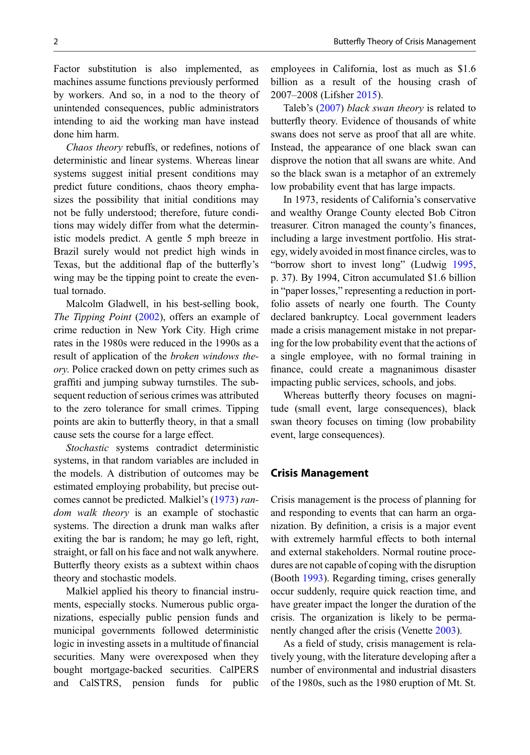Factor substitution is also implemented, as machines assume functions previously performed by workers. And so, in a nod to the theory of unintended consequences, public administrators intending to aid the working man have instead done him harm.

Chaos theory rebuffs, or redefines, notions of deterministic and linear systems. Whereas linear systems suggest initial present conditions may predict future conditions, chaos theory emphasizes the possibility that initial conditions may not be fully understood; therefore, future conditions may widely differ from what the deterministic models predict. A gentle 5 mph breeze in Brazil surely would not predict high winds in Texas, but the additional flap of the butterfly's wing may be the tipping point to create the eventual tornado.

Malcolm Gladwell, in his best-selling book, The Tipping Point [\(2002](#page-5-0)), offers an example of crime reduction in New York City. High crime rates in the 1980s were reduced in the 1990s as a result of application of the broken windows theory. Police cracked down on petty crimes such as graffiti and jumping subway turnstiles. The subsequent reduction of serious crimes was attributed to the zero tolerance for small crimes. Tipping points are akin to butterfly theory, in that a small cause sets the course for a large effect.

Stochastic systems contradict deterministic systems, in that random variables are included in the models. A distribution of outcomes may be estimated employing probability, but precise outcomes cannot be predicted. Malkiel's ([1973\)](#page-5-0) random walk theory is an example of stochastic systems. The direction a drunk man walks after exiting the bar is random; he may go left, right, straight, or fall on his face and not walk anywhere. Butterfly theory exists as a subtext within chaos theory and stochastic models.

Malkiel applied his theory to financial instruments, especially stocks. Numerous public organizations, especially public pension funds and municipal governments followed deterministic logic in investing assets in a multitude of financial securities. Many were overexposed when they bought mortgage-backed securities. CalPERS and CalSTRS, pension funds for public employees in California, lost as much as \$1.6 billion as a result of the housing crash of 2007–2008 (Lifsher [2015\)](#page-5-0).

Taleb's [\(2007](#page-5-0)) black swan theory is related to butterfly theory. Evidence of thousands of white swans does not serve as proof that all are white. Instead, the appearance of one black swan can disprove the notion that all swans are white. And so the black swan is a metaphor of an extremely low probability event that has large impacts.

In 1973, residents of California's conservative and wealthy Orange County elected Bob Citron treasurer. Citron managed the county's finances, including a large investment portfolio. His strategy, widely avoided in most finance circles, was to "borrow short to invest long" (Ludwig [1995](#page-5-0), p. 37). By 1994, Citron accumulated \$1.6 billion in "paper losses," representing a reduction in portfolio assets of nearly one fourth. The County declared bankruptcy. Local government leaders made a crisis management mistake in not preparing for the low probability event that the actions of a single employee, with no formal training in finance, could create a magnanimous disaster impacting public services, schools, and jobs.

Whereas butterfly theory focuses on magnitude (small event, large consequences), black swan theory focuses on timing (low probability event, large consequences).

#### Crisis Management

Crisis management is the process of planning for and responding to events that can harm an organization. By definition, a crisis is a major event with extremely harmful effects to both internal and external stakeholders. Normal routine procedures are not capable of coping with the disruption (Booth [1993](#page-5-0)). Regarding timing, crises generally occur suddenly, require quick reaction time, and have greater impact the longer the duration of the crisis. The organization is likely to be permanently changed after the crisis (Venette [2003\)](#page-5-0).

As a field of study, crisis management is relatively young, with the literature developing after a number of environmental and industrial disasters of the 1980s, such as the 1980 eruption of Mt. St.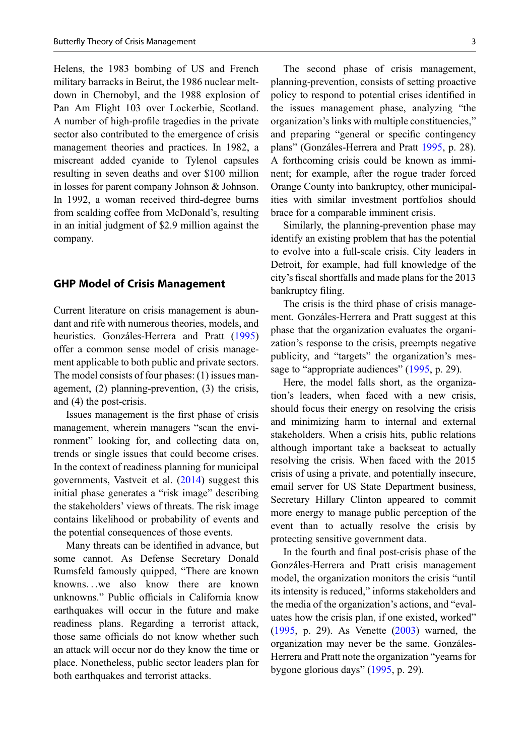Helens, the 1983 bombing of US and French military barracks in Beirut, the 1986 nuclear meltdown in Chernobyl, and the 1988 explosion of Pan Am Flight 103 over Lockerbie, Scotland. A number of high-profile tragedies in the private sector also contributed to the emergence of crisis management theories and practices. In 1982, a miscreant added cyanide to Tylenol capsules resulting in seven deaths and over \$100 million in losses for parent company Johnson & Johnson. In 1992, a woman received third-degree burns from scalding coffee from McDonald's, resulting in an initial judgment of \$2.9 million against the company.

#### GHP Model of Crisis Management

Current literature on crisis management is abundant and rife with numerous theories, models, and heuristics. Gonzáles-Herrera and Pratt [\(1995](#page-5-0)) offer a common sense model of crisis management applicable to both public and private sectors. The model consists of four phases: (1) issues management, (2) planning-prevention, (3) the crisis, and (4) the post-crisis.

Issues management is the first phase of crisis management, wherein managers "scan the environment" looking for, and collecting data on, trends or single issues that could become crises. In the context of readiness planning for municipal governments, Vastveit et al. ([2014\)](#page-5-0) suggest this initial phase generates a "risk image" describing the stakeholders' views of threats. The risk image contains likelihood or probability of events and the potential consequences of those events.

Many threats can be identified in advance, but some cannot. As Defense Secretary Donald Rumsfeld famously quipped, "There are known knowns...we also know there are known unknowns." Public officials in California know earthquakes will occur in the future and make readiness plans. Regarding a terrorist attack, those same officials do not know whether such an attack will occur nor do they know the time or place. Nonetheless, public sector leaders plan for both earthquakes and terrorist attacks.

The second phase of crisis management, planning-prevention, consists of setting proactive policy to respond to potential crises identified in the issues management phase, analyzing "the organization's links with multiple constituencies," and preparing "general or specific contingency plans" (Gonzáles-Herrera and Pratt [1995,](#page-5-0) p. 28). A forthcoming crisis could be known as imminent; for example, after the rogue trader forced Orange County into bankruptcy, other municipalities with similar investment portfolios should brace for a comparable imminent crisis.

Similarly, the planning-prevention phase may identify an existing problem that has the potential to evolve into a full-scale crisis. City leaders in Detroit, for example, had full knowledge of the city's fiscal shortfalls and made plans for the 2013 bankruptcy filing.

The crisis is the third phase of crisis management. Gonzáles-Herrera and Pratt suggest at this phase that the organization evaluates the organization's response to the crisis, preempts negative publicity, and "targets" the organization's mes-sage to "appropriate audiences" [\(1995](#page-5-0), p. 29).

Here, the model falls short, as the organization's leaders, when faced with a new crisis, should focus their energy on resolving the crisis and minimizing harm to internal and external stakeholders. When a crisis hits, public relations although important take a backseat to actually resolving the crisis. When faced with the 2015 crisis of using a private, and potentially insecure, email server for US State Department business, Secretary Hillary Clinton appeared to commit more energy to manage public perception of the event than to actually resolve the crisis by protecting sensitive government data.

In the fourth and final post-crisis phase of the Gonzáles-Herrera and Pratt crisis management model, the organization monitors the crisis "until its intensity is reduced," informs stakeholders and the media of the organization's actions, and "evaluates how the crisis plan, if one existed, worked" [\(1995](#page-5-0), p. 29). As Venette [\(2003](#page-5-0)) warned, the organization may never be the same. Gonzáles-Herrera and Pratt note the organization "yearns for bygone glorious days" [\(1995](#page-5-0), p. 29).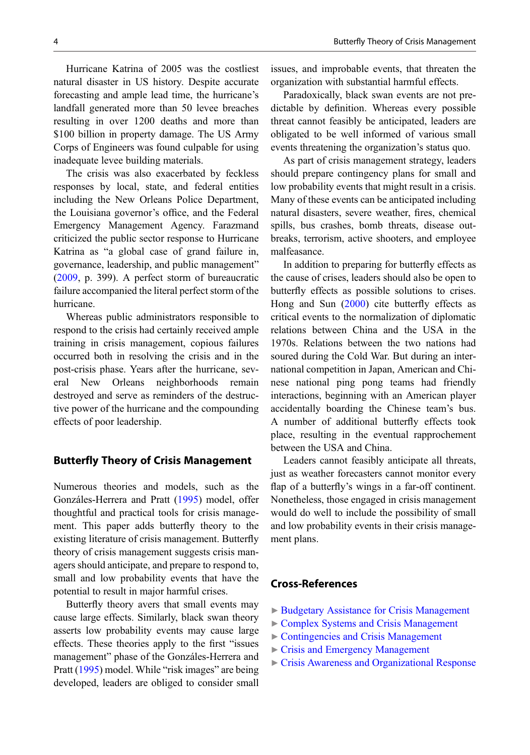Hurricane Katrina of 2005 was the costliest natural disaster in US history. Despite accurate forecasting and ample lead time, the hurricane's landfall generated more than 50 levee breaches resulting in over 1200 deaths and more than \$100 billion in property damage. The US Army Corps of Engineers was found culpable for using inadequate levee building materials.

The crisis was also exacerbated by feckless responses by local, state, and federal entities including the New Orleans Police Department, the Louisiana governor's office, and the Federal Emergency Management Agency. Farazmand criticized the public sector response to Hurricane Katrina as "a global case of grand failure in, governance, leadership, and public management" [\(2009](#page-5-0), p. 399). A perfect storm of bureaucratic failure accompanied the literal perfect storm of the hurricane.

Whereas public administrators responsible to respond to the crisis had certainly received ample training in crisis management, copious failures occurred both in resolving the crisis and in the post-crisis phase. Years after the hurricane, several New Orleans neighborhoods remain destroyed and serve as reminders of the destructive power of the hurricane and the compounding effects of poor leadership.

#### Butterfly Theory of Crisis Management

Numerous theories and models, such as the Gonzáles-Herrera and Pratt [\(1995](#page-5-0)) model, offer thoughtful and practical tools for crisis management. This paper adds butterfly theory to the existing literature of crisis management. Butterfly theory of crisis management suggests crisis managers should anticipate, and prepare to respond to, small and low probability events that have the potential to result in major harmful crises.

Butterfly theory avers that small events may cause large effects. Similarly, black swan theory asserts low probability events may cause large effects. These theories apply to the first "issues management" phase of the Gonzáles-Herrera and Pratt ([1995\)](#page-5-0) model. While "risk images" are being developed, leaders are obliged to consider small issues, and improbable events, that threaten the organization with substantial harmful effects.

Paradoxically, black swan events are not predictable by definition. Whereas every possible threat cannot feasibly be anticipated, leaders are obligated to be well informed of various small events threatening the organization's status quo.

As part of crisis management strategy, leaders should prepare contingency plans for small and low probability events that might result in a crisis. Many of these events can be anticipated including natural disasters, severe weather, fires, chemical spills, bus crashes, bomb threats, disease outbreaks, terrorism, active shooters, and employee malfeasance.

In addition to preparing for butterfly effects as the cause of crises, leaders should also be open to butterfly effects as possible solutions to crises. Hong and Sun [\(2000](#page-5-0)) cite butterfly effects as critical events to the normalization of diplomatic relations between China and the USA in the 1970s. Relations between the two nations had soured during the Cold War. But during an international competition in Japan, American and Chinese national ping pong teams had friendly interactions, beginning with an American player accidentally boarding the Chinese team's bus. A number of additional butterfly effects took place, resulting in the eventual rapprochement between the USA and China.

Leaders cannot feasibly anticipate all threats, just as weather forecasters cannot monitor every flap of a butterfly's wings in a far-off continent. Nonetheless, those engaged in crisis management would do well to include the possibility of small and low probability events in their crisis management plans.

# Cross-References

- ▶ [Budgetary Assistance for Crisis Management](http://link.springer.com/Budgetary Assistance for Crisis Management)
- ▶ [Complex Systems and Crisis Management](http://link.springer.com/Complex Systems and Crisis Management)
- ▶ [Contingencies and Crisis Management](http://link.springer.com/Contingencies and Crisis Management)
- ▶ [Crisis and Emergency Management](http://link.springer.com/Crisis and Emergency Management)
- ▶ [Crisis Awareness and Organizational Response](http://link.springer.com/Crisis Awareness and Organizational Response)